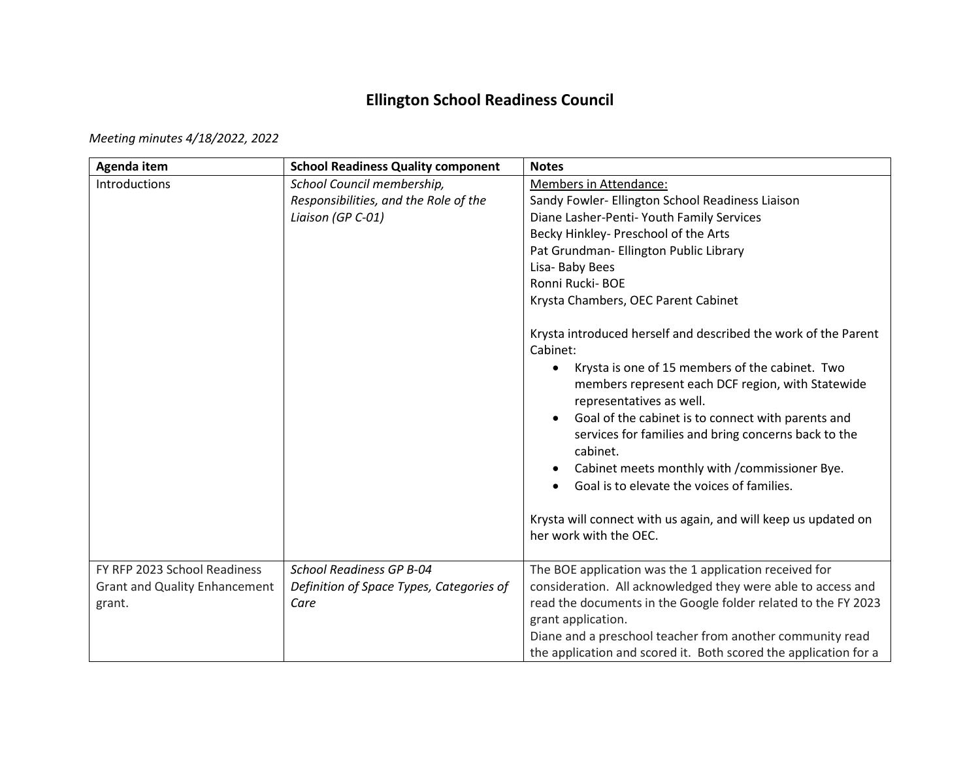## **Ellington School Readiness Council**

*Meeting minutes 4/18/2022, 2022* 

| <b>School Readiness Quality component</b> | <b>Notes</b>                                                                                                                                                                                                                                                                                                                                                                                                                                                                                                                                                   |
|-------------------------------------------|----------------------------------------------------------------------------------------------------------------------------------------------------------------------------------------------------------------------------------------------------------------------------------------------------------------------------------------------------------------------------------------------------------------------------------------------------------------------------------------------------------------------------------------------------------------|
| School Council membership,                | Members in Attendance:                                                                                                                                                                                                                                                                                                                                                                                                                                                                                                                                         |
| Responsibilities, and the Role of the     | Sandy Fowler- Ellington School Readiness Liaison                                                                                                                                                                                                                                                                                                                                                                                                                                                                                                               |
| Liaison (GP C-01)                         | Diane Lasher-Penti- Youth Family Services                                                                                                                                                                                                                                                                                                                                                                                                                                                                                                                      |
|                                           | Becky Hinkley- Preschool of the Arts                                                                                                                                                                                                                                                                                                                                                                                                                                                                                                                           |
|                                           | Pat Grundman- Ellington Public Library                                                                                                                                                                                                                                                                                                                                                                                                                                                                                                                         |
|                                           | Lisa-Baby Bees                                                                                                                                                                                                                                                                                                                                                                                                                                                                                                                                                 |
|                                           | Ronni Rucki-BOE                                                                                                                                                                                                                                                                                                                                                                                                                                                                                                                                                |
|                                           | Krysta Chambers, OEC Parent Cabinet                                                                                                                                                                                                                                                                                                                                                                                                                                                                                                                            |
|                                           | Krysta introduced herself and described the work of the Parent<br>Cabinet:<br>Krysta is one of 15 members of the cabinet. Two<br>$\bullet$<br>members represent each DCF region, with Statewide<br>representatives as well.<br>Goal of the cabinet is to connect with parents and<br>services for families and bring concerns back to the<br>cabinet.<br>Cabinet meets monthly with / commissioner Bye.<br>$\bullet$<br>Goal is to elevate the voices of families.<br>Krysta will connect with us again, and will keep us updated on<br>her work with the OEC. |
|                                           | The BOE application was the 1 application received for                                                                                                                                                                                                                                                                                                                                                                                                                                                                                                         |
|                                           | consideration. All acknowledged they were able to access and                                                                                                                                                                                                                                                                                                                                                                                                                                                                                                   |
|                                           | read the documents in the Google folder related to the FY 2023                                                                                                                                                                                                                                                                                                                                                                                                                                                                                                 |
|                                           | grant application.                                                                                                                                                                                                                                                                                                                                                                                                                                                                                                                                             |
|                                           | Diane and a preschool teacher from another community read                                                                                                                                                                                                                                                                                                                                                                                                                                                                                                      |
|                                           | the application and scored it. Both scored the application for a                                                                                                                                                                                                                                                                                                                                                                                                                                                                                               |
|                                           | <b>School Readiness GP B-04</b><br>Definition of Space Types, Categories of<br>Care                                                                                                                                                                                                                                                                                                                                                                                                                                                                            |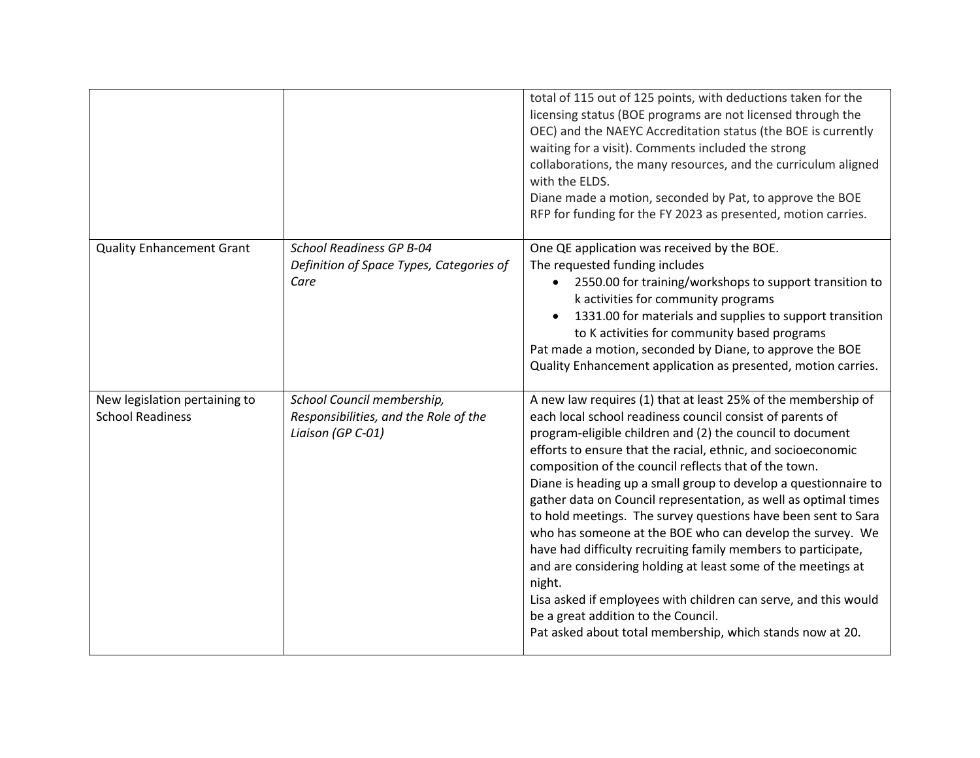|                                                          |                                                                                          | total of 115 out of 125 points, with deductions taken for the<br>licensing status (BOE programs are not licensed through the<br>OEC) and the NAEYC Accreditation status (the BOE is currently<br>waiting for a visit). Comments included the strong<br>collaborations, the many resources, and the curriculum aligned<br>with the ELDS.<br>Diane made a motion, seconded by Pat, to approve the BOE<br>RFP for funding for the FY 2023 as presented, motion carries.                                                                                                                                                                                                                                                                                                                                                                                                                                   |
|----------------------------------------------------------|------------------------------------------------------------------------------------------|--------------------------------------------------------------------------------------------------------------------------------------------------------------------------------------------------------------------------------------------------------------------------------------------------------------------------------------------------------------------------------------------------------------------------------------------------------------------------------------------------------------------------------------------------------------------------------------------------------------------------------------------------------------------------------------------------------------------------------------------------------------------------------------------------------------------------------------------------------------------------------------------------------|
| <b>Quality Enhancement Grant</b>                         | <b>School Readiness GP B-04</b><br>Definition of Space Types, Categories of<br>Care      | One QE application was received by the BOE.<br>The requested funding includes<br>2550.00 for training/workshops to support transition to<br>$\bullet$<br>k activities for community programs<br>1331.00 for materials and supplies to support transition<br>to K activities for community based programs<br>Pat made a motion, seconded by Diane, to approve the BOE<br>Quality Enhancement application as presented, motion carries.                                                                                                                                                                                                                                                                                                                                                                                                                                                                  |
| New legislation pertaining to<br><b>School Readiness</b> | School Council membership,<br>Responsibilities, and the Role of the<br>Liaison (GP C-01) | A new law requires (1) that at least 25% of the membership of<br>each local school readiness council consist of parents of<br>program-eligible children and (2) the council to document<br>efforts to ensure that the racial, ethnic, and socioeconomic<br>composition of the council reflects that of the town.<br>Diane is heading up a small group to develop a questionnaire to<br>gather data on Council representation, as well as optimal times<br>to hold meetings. The survey questions have been sent to Sara<br>who has someone at the BOE who can develop the survey. We<br>have had difficulty recruiting family members to participate,<br>and are considering holding at least some of the meetings at<br>night.<br>Lisa asked if employees with children can serve, and this would<br>be a great addition to the Council.<br>Pat asked about total membership, which stands now at 20. |